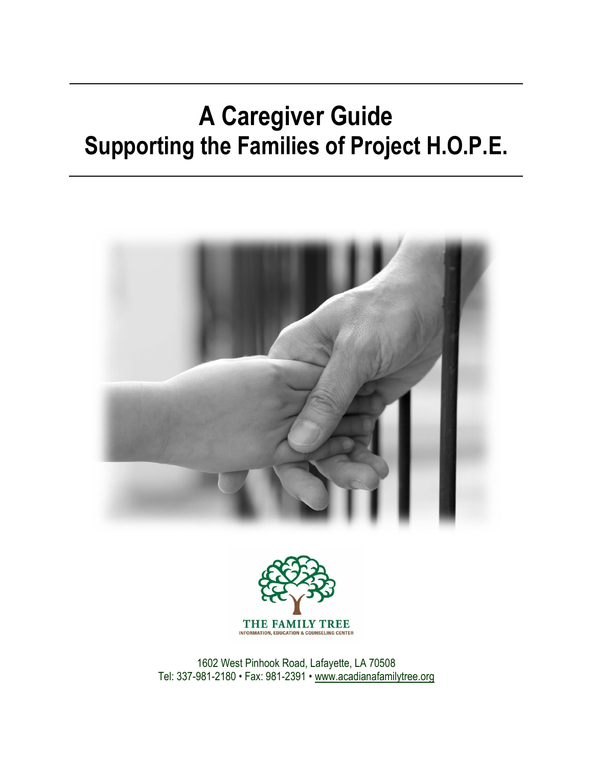# **A Caregiver Guide Supporting the Families of Project H.O.P.E.**





1602 West Pinhook Road, Lafayette, LA 70508 Tel: 337-981-2180 • Fax: 981-2391 • [www.acadianafamilytree.org](http://www.acadianafamilytree.org/)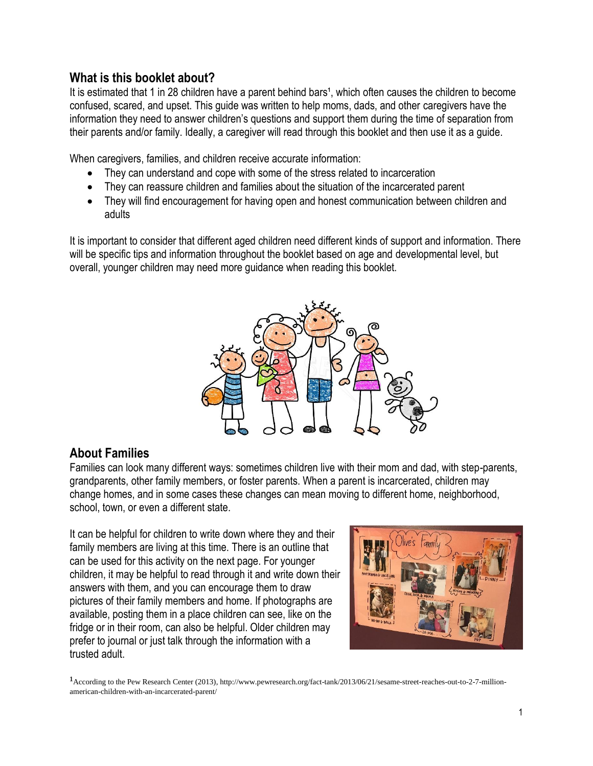#### **What is this booklet about?**

It is estimated that 1 in 28 children have a parent behind bars<sup>1</sup>, which often causes the children to become confused, scared, and upset. This guide was written to help moms, dads, and other caregivers have the information they need to answer children's questions and support them during the time of separation from their parents and/or family. Ideally, a caregiver will read through this booklet and then use it as a guide.

When caregivers, families, and children receive accurate information:

- They can understand and cope with some of the stress related to incarceration
- They can reassure children and families about the situation of the incarcerated parent
- They will find encouragement for having open and honest communication between children and adults

It is important to consider that different aged children need different kinds of support and information. There will be specific tips and information throughout the booklet based on age and developmental level, but overall, younger children may need more guidance when reading this booklet.



#### **About Families**

Families can look many different ways: sometimes children live with their mom and dad, with step-parents, grandparents, other family members, or foster parents. When a parent is incarcerated, children may change homes, and in some cases these changes can mean moving to different home, neighborhood, school, town, or even a different state.

It can be helpful for children to write down where they and their family members are living at this time. There is an outline that can be used for this activity on the next page. For younger children, it may be helpful to read through it and write down their answers with them, and you can encourage them to draw pictures of their family members and home. If photographs are available, posting them in a place children can see, like on the fridge or in their room, can also be helpful. Older children may prefer to journal or just talk through the information with a trusted adult.



<sup>1</sup>According to the Pew Research Center (2013), http://www.pewresearch.org/fact-tank/2013/06/21/sesame-street-reaches-out-to-2-7-millionamerican-children-with-an-incarcerated-parent/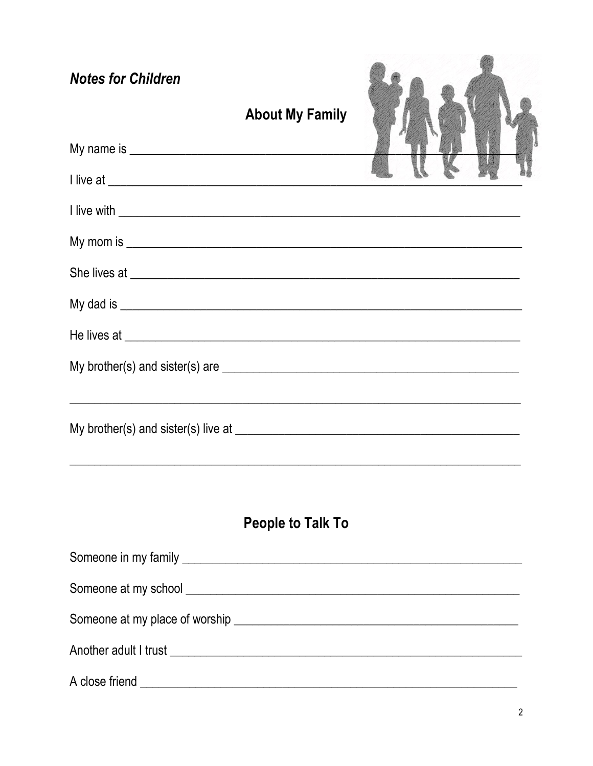| <b>Notes for Children</b>                                                                                                                                                                                                                                        | <b>About My Family</b> |  |
|------------------------------------------------------------------------------------------------------------------------------------------------------------------------------------------------------------------------------------------------------------------|------------------------|--|
|                                                                                                                                                                                                                                                                  |                        |  |
|                                                                                                                                                                                                                                                                  |                        |  |
| I live with <u>example and the set of the set of the set of the set of the set of the set of the set of the set of the set of the set of the set of the set of the set of the set of the set of the set of the set of the set of</u>                             |                        |  |
|                                                                                                                                                                                                                                                                  |                        |  |
| She lives at <u>example and the state of the state of the state of the state of the state of the state of the state of the state of the state of the state of the state of the state of the state of the state of the state of t</u>                             |                        |  |
|                                                                                                                                                                                                                                                                  |                        |  |
| He lives at <u>example and the set of the set of the set of the set of the set of the set of the set of the set of the set of the set of the set of the set of the set of the set of the set of the set of the set of the set of</u>                             |                        |  |
| My brother(s) and sister(s) are $\sqrt{2}$ mechanical methods of $\frac{1}{2}$ methods of $\frac{1}{2}$ methods of $\frac{1}{2}$ methods of $\frac{1}{2}$ methods of $\frac{1}{2}$ methods of $\frac{1}{2}$ methods of $\frac{1}{2}$ methods of $\frac{1}{2}$ me |                        |  |
|                                                                                                                                                                                                                                                                  |                        |  |

# People to Talk To

| A close friend _ |
|------------------|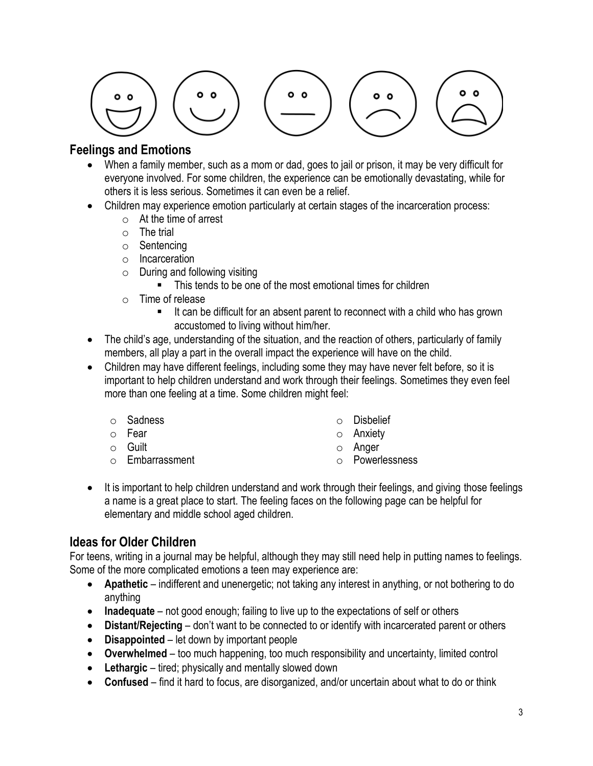$$
\begin{pmatrix}\n\cdot \\
\cdot \\
\cdot\n\end{pmatrix}\n\begin{pmatrix}\n\cdot \\
\cdot \\
\cdot\n\end{pmatrix}\n\begin{pmatrix}\n\cdot \\
\cdot \\
\cdot\n\end{pmatrix}\n\begin{pmatrix}\n\cdot \\
\cdot \\
\cdot\n\end{pmatrix}
$$

#### **Feelings and Emotions**

- When a family member, such as a mom or dad, goes to jail or prison, it may be very difficult for everyone involved. For some children, the experience can be emotionally devastating, while for others it is less serious. Sometimes it can even be a relief.
- Children may experience emotion particularly at certain stages of the incarceration process:
	- o At the time of arrest
	- $\circ$  The trial
	- o Sentencing
	- o Incarceration
	- $\circ$  During and following visiting
		- This tends to be one of the most emotional times for children
	- o Time of release
		- It can be difficult for an absent parent to reconnect with a child who has grown accustomed to living without him/her.
- The child's age, understanding of the situation, and the reaction of others, particularly of family members, all play a part in the overall impact the experience will have on the child.
- Children may have different feelings, including some they may have never felt before, so it is important to help children understand and work through their feelings. Sometimes they even feel more than one feeling at a time. Some children might feel:
	- o Sadness
	- o Fear
	- o Guilt
	- o Embarrassment
- o Disbelief
- o Anxiety
- o Anger
- o Powerlessness
- It is important to help children understand and work through their feelings, and giving those feelings a name is a great place to start. The feeling faces on the following page can be helpful for elementary and middle school aged children.

#### **Ideas for Older Children**

For teens, writing in a journal may be helpful, although they may still need help in putting names to feelings. Some of the more complicated emotions a teen may experience are:

- **Apathetic** indifferent and unenergetic; not taking any interest in anything, or not bothering to do anything
- **Inadequate** not good enough; failing to live up to the expectations of self or others
- **Distant/Rejecting** don't want to be connected to or identify with incarcerated parent or others
- **Disappointed** let down by important people
- **Overwhelmed** too much happening, too much responsibility and uncertainty, limited control
- **Lethargic** tired; physically and mentally slowed down
- **Confused** find it hard to focus, are disorganized, and/or uncertain about what to do or think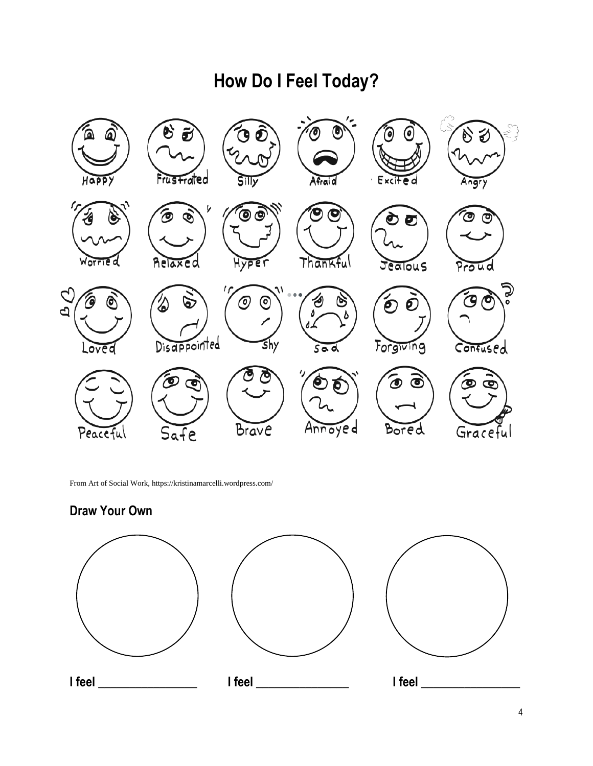# **How Do I Feel Today?**



From Art of Social Work, https://kristinamarcelli.wordpress.com/

#### **Draw Your Own**

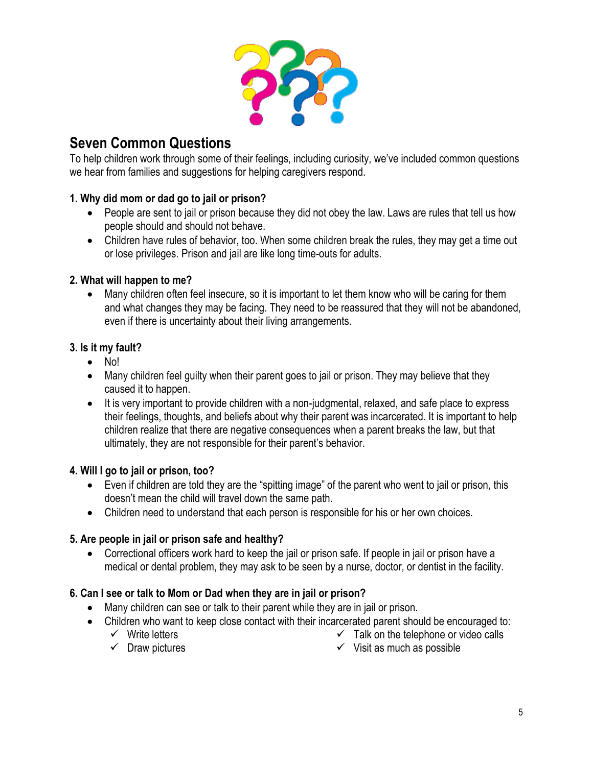

### **Seven Common Questions**

To help children work through some of their feelings, including curiosity, we've included common questions we hear from families and suggestions for helping caregivers respond.

#### **1. Why did mom or dad go to jail or prison?**

- People are sent to jail or prison because they did not obey the law. Laws are rules that tell us how people should and should not behave.
- Children have rules of behavior, too. When some children break the rules, they may get a time out or lose privileges. Prison and jail are like long time-outs for adults.

#### **2. What will happen to me?**

• Many children often feel insecure, so it is important to let them know who will be caring for them and what changes they may be facing. They need to be reassured that they will not be abandoned, even if there is uncertainty about their living arrangements.

#### **3. Is it my fault?**

- No!
- Many children feel quilty when their parent goes to jail or prison. They may believe that they caused it to happen.
- It is very important to provide children with a non-judgmental, relaxed, and safe place to express their feelings, thoughts, and beliefs about why their parent was incarcerated. It is important to help children realize that there are negative consequences when a parent breaks the law, but that ultimately, they are not responsible for their parent's behavior.

#### **4. Will I go to jail or prison, too?**

- Even if children are told they are the "spitting image" of the parent who went to jail or prison, this doesn't mean the child will travel down the same path.
- Children need to understand that each person is responsible for his or her own choices.

#### **5. Are people in jail or prison safe and healthy?**

• Correctional officers work hard to keep the jail or prison safe. If people in jail or prison have a medical or dental problem, they may ask to be seen by a nurse, doctor, or dentist in the facility.

#### **6. Can I see or talk to Mom or Dad when they are in jail or prison?**

- Many children can see or talk to their parent while they are in jail or prison.
- Children who want to keep close contact with their incarcerated parent should be encouraged to:
	- ✓ Write letters  $\checkmark$  Talk on the telephone or video calls
	- $\checkmark$  Draw pictures

 $\checkmark$  Visit as much as possible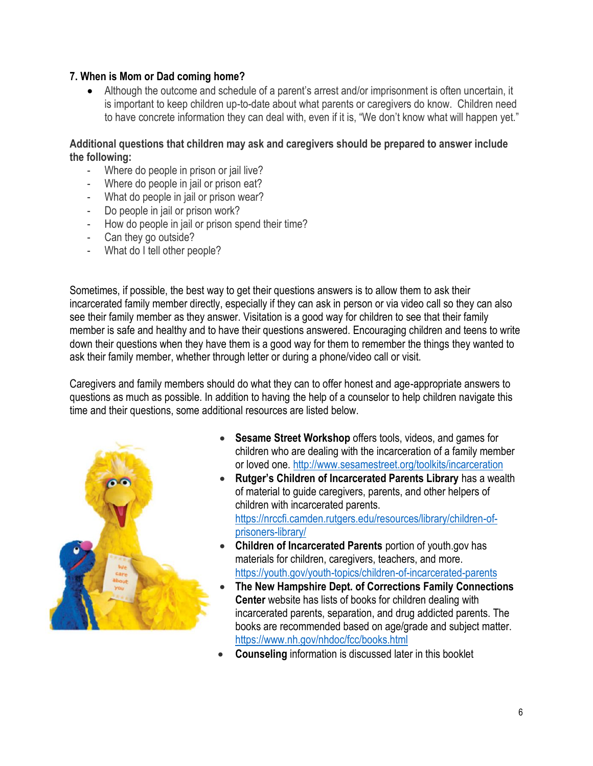#### **7. When is Mom or Dad coming home?**

• Although the outcome and schedule of a parent's arrest and/or imprisonment is often uncertain, it is important to keep children up-to-date about what parents or caregivers do know. Children need to have concrete information they can deal with, even if it is, "We don't know what will happen yet."

**Additional questions that children may ask and caregivers should be prepared to answer include the following:**

- Where do people in prison or jail live?
- Where do people in jail or prison eat?
- What do people in jail or prison wear?
- Do people in jail or prison work?
- How do people in jail or prison spend their time?
- Can they go outside?
- What do I tell other people?

Sometimes, if possible, the best way to get their questions answers is to allow them to ask their incarcerated family member directly, especially if they can ask in person or via video call so they can also see their family member as they answer. Visitation is a good way for children to see that their family member is safe and healthy and to have their questions answered. Encouraging children and teens to write down their questions when they have them is a good way for them to remember the things they wanted to ask their family member, whether through letter or during a phone/video call or visit.

Caregivers and family members should do what they can to offer honest and age-appropriate answers to questions as much as possible. In addition to having the help of a counselor to help children navigate this time and their questions, some additional resources are listed below.



- **Sesame Street Workshop** offers tools, videos, and games for children who are dealing with the incarceration of a family member or loved one.<http://www.sesamestreet.org/toolkits/incarceration>
- **Rutger's Children of Incarcerated Parents Library** has a wealth of material to guide caregivers, parents, and other helpers of children with incarcerated parents. [https://nrccfi.camden.rutgers.edu/resources/library/children-of](https://nrccfi.camden.rutgers.edu/resources/library/children-of-prisoners-library/)[prisoners-library/](https://nrccfi.camden.rutgers.edu/resources/library/children-of-prisoners-library/)
- **Children of Incarcerated Parents** portion of youth.gov has materials for children, caregivers, teachers, and more. <https://youth.gov/youth-topics/children-of-incarcerated-parents>
- **The New Hampshire Dept. of Corrections Family Connections Center** website has lists of books for children dealing with incarcerated parents, separation, and drug addicted parents. The books are recommended based on age/grade and subject matter. <https://www.nh.gov/nhdoc/fcc/books.html>
- **Counseling** information is discussed later in this booklet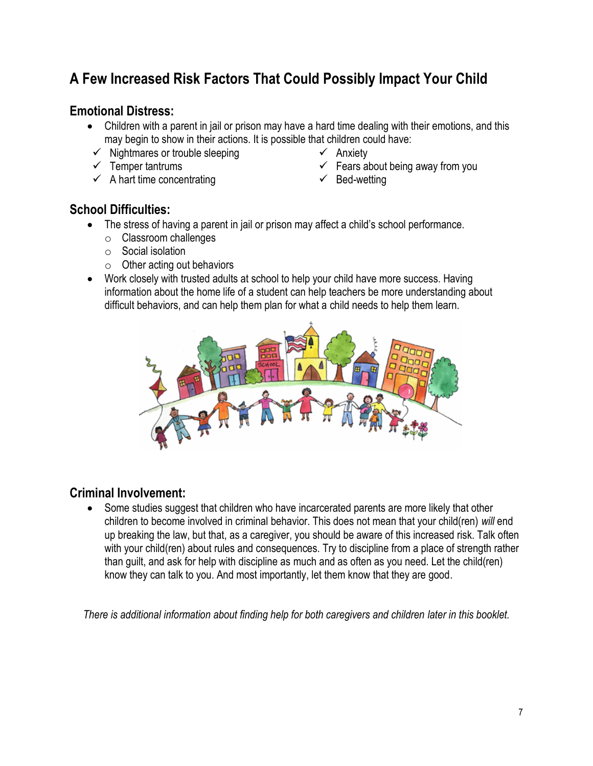## **A Few Increased Risk Factors That Could Possibly Impact Your Child**

#### **Emotional Distress:**

- Children with a parent in jail or prison may have a hard time dealing with their emotions, and this may begin to show in their actions. It is possible that children could have:
- $\checkmark$  Nightmares or trouble sleeping
- $\checkmark$  Temper tantrums
- $\checkmark$  A hart time concentrating
- ✓ Anxiety
- $\checkmark$  Fears about being away from you
- $\checkmark$  Bed-wetting

#### **School Difficulties:**

- The stress of having a parent in jail or prison may affect a child's school performance.
	- o Classroom challenges
	- o Social isolation
	- $\circ$  Other acting out behaviors
- Work closely with trusted adults at school to help your child have more success. Having information about the home life of a student can help teachers be more understanding about difficult behaviors, and can help them plan for what a child needs to help them learn.



#### **Criminal Involvement:**

• Some studies suggest that children who have incarcerated parents are more likely that other children to become involved in criminal behavior. This does not mean that your child(ren) *will* end up breaking the law, but that, as a caregiver, you should be aware of this increased risk. Talk often with your child(ren) about rules and consequences. Try to discipline from a place of strength rather than guilt, and ask for help with discipline as much and as often as you need. Let the child(ren) know they can talk to you. And most importantly, let them know that they are good.

*There is additional information about finding help for both caregivers and children later in this booklet.*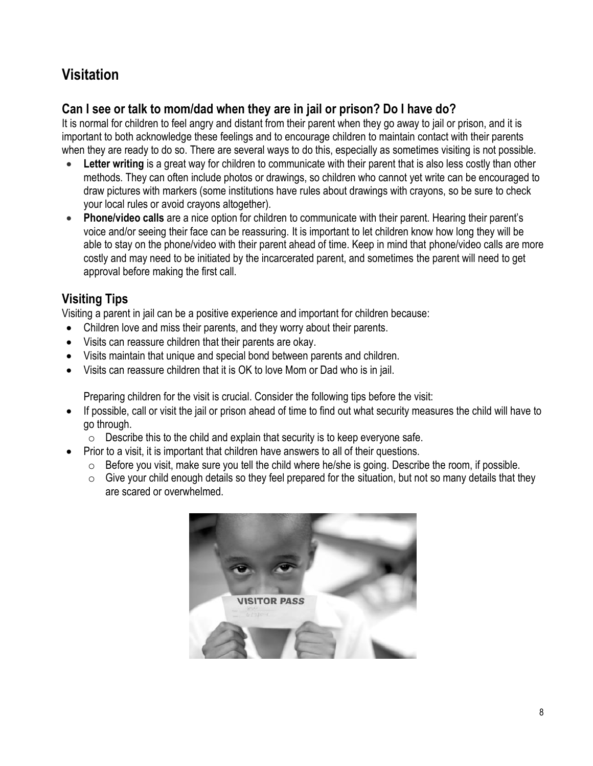# **Visitation**

#### **Can I see or talk to mom/dad when they are in jail or prison? Do I have do?**

It is normal for children to feel angry and distant from their parent when they go away to jail or prison, and it is important to both acknowledge these feelings and to encourage children to maintain contact with their parents when they are ready to do so. There are several ways to do this, especially as sometimes visiting is not possible.

- Letter writing is a great way for children to communicate with their parent that is also less costly than other methods. They can often include photos or drawings, so children who cannot yet write can be encouraged to draw pictures with markers (some institutions have rules about drawings with crayons, so be sure to check your local rules or avoid crayons altogether).
- **Phone/video calls** are a nice option for children to communicate with their parent. Hearing their parent's voice and/or seeing their face can be reassuring. It is important to let children know how long they will be able to stay on the phone/video with their parent ahead of time. Keep in mind that phone/video calls are more costly and may need to be initiated by the incarcerated parent, and sometimes the parent will need to get approval before making the first call.

#### **Visiting Tips**

Visiting a parent in jail can be a positive experience and important for children because:

- Children love and miss their parents, and they worry about their parents.
- Visits can reassure children that their parents are okay.
- Visits maintain that unique and special bond between parents and children.
- Visits can reassure children that it is OK to love Mom or Dad who is in jail.

Preparing children for the visit is crucial. Consider the following tips before the visit:

- If possible, call or visit the jail or prison ahead of time to find out what security measures the child will have to go through.
	- o Describe this to the child and explain that security is to keep everyone safe.
- Prior to a visit, it is important that children have answers to all of their questions.
	- o Before you visit, make sure you tell the child where he/she is going. Describe the room, if possible.
	- $\circ$  Give your child enough details so they feel prepared for the situation, but not so many details that they are scared or overwhelmed.

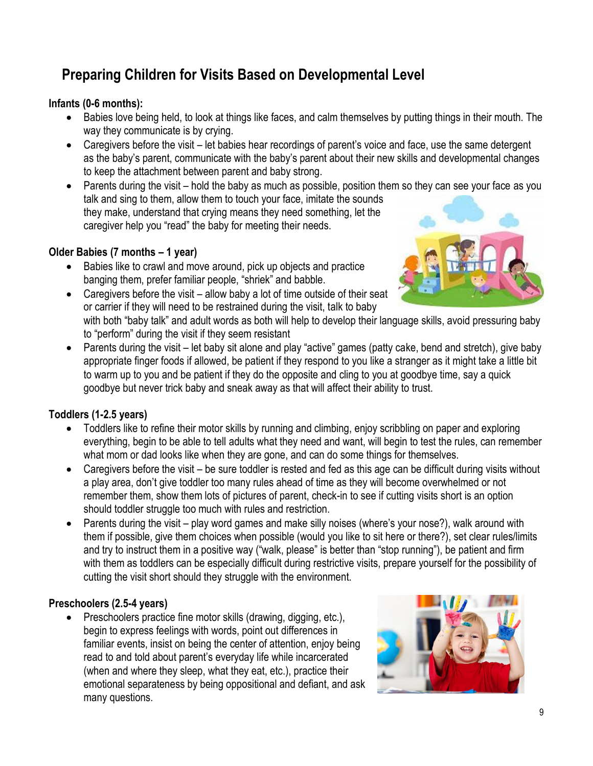# **Preparing Children for Visits Based on Developmental Level**

#### **Infants (0-6 months):**

- Babies love being held, to look at things like faces, and calm themselves by putting things in their mouth. The way they communicate is by crying.
- Caregivers before the visit let babies hear recordings of parent's voice and face, use the same detergent as the baby's parent, communicate with the baby's parent about their new skills and developmental changes to keep the attachment between parent and baby strong.
- Parents during the visit hold the baby as much as possible, position them so they can see your face as you talk and sing to them, allow them to touch your face, imitate the sounds they make, understand that crying means they need something, let the caregiver help you "read" the baby for meeting their needs.

#### **Older Babies (7 months – 1 year)**

• Babies like to crawl and move around, pick up objects and practice banging them, prefer familiar people, "shriek" and babble.



- Caregivers before the visit allow baby a lot of time outside of their seat or carrier if they will need to be restrained during the visit, talk to baby with both "baby talk" and adult words as both will help to develop their language skills, avoid pressuring baby to "perform" during the visit if they seem resistant
- Parents during the visit let baby sit alone and play "active" games (patty cake, bend and stretch), give baby appropriate finger foods if allowed, be patient if they respond to you like a stranger as it might take a little bit to warm up to you and be patient if they do the opposite and cling to you at goodbye time, say a quick goodbye but never trick baby and sneak away as that will affect their ability to trust.

#### **Toddlers (1-2.5 years)**

- Toddlers like to refine their motor skills by running and climbing, enjoy scribbling on paper and exploring everything, begin to be able to tell adults what they need and want, will begin to test the rules, can remember what mom or dad looks like when they are gone, and can do some things for themselves.
- Caregivers before the visit be sure toddler is rested and fed as this age can be difficult during visits without a play area, don't give toddler too many rules ahead of time as they will become overwhelmed or not remember them, show them lots of pictures of parent, check-in to see if cutting visits short is an option should toddler struggle too much with rules and restriction.
- Parents during the visit play word games and make silly noises (where's your nose?), walk around with them if possible, give them choices when possible (would you like to sit here or there?), set clear rules/limits and try to instruct them in a positive way ("walk, please" is better than "stop running"), be patient and firm with them as toddlers can be especially difficult during restrictive visits, prepare yourself for the possibility of cutting the visit short should they struggle with the environment.

#### **Preschoolers (2.5-4 years)**

• Preschoolers practice fine motor skills (drawing, digging, etc.), begin to express feelings with words, point out differences in familiar events, insist on being the center of attention, enjoy being read to and told about parent's everyday life while incarcerated (when and where they sleep, what they eat, etc.), practice their emotional separateness by being oppositional and defiant, and ask many questions.

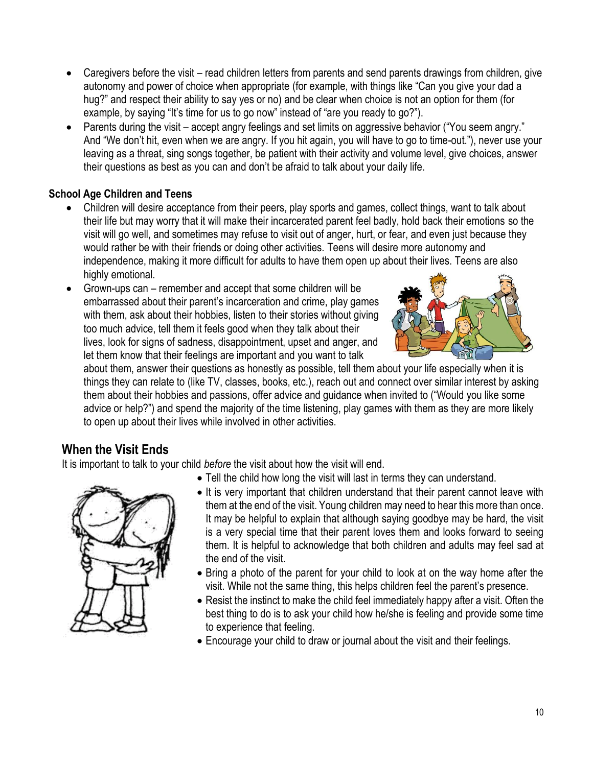- Caregivers before the visit read children letters from parents and send parents drawings from children, give autonomy and power of choice when appropriate (for example, with things like "Can you give your dad a hug?" and respect their ability to say yes or no) and be clear when choice is not an option for them (for example, by saying "It's time for us to go now" instead of "are you ready to go?").
- Parents during the visit accept angry feelings and set limits on aggressive behavior ("You seem angry." And "We don't hit, even when we are angry. If you hit again, you will have to go to time-out."), never use your leaving as a threat, sing songs together, be patient with their activity and volume level, give choices, answer their questions as best as you can and don't be afraid to talk about your daily life.

#### **School Age Children and Teens**

- Children will desire acceptance from their peers, play sports and games, collect things, want to talk about their life but may worry that it will make their incarcerated parent feel badly, hold back their emotions so the visit will go well, and sometimes may refuse to visit out of anger, hurt, or fear, and even just because they would rather be with their friends or doing other activities. Teens will desire more autonomy and independence, making it more difficult for adults to have them open up about their lives. Teens are also highly emotional.
- Grown-ups can remember and accept that some children will be embarrassed about their parent's incarceration and crime, play games with them, ask about their hobbies, listen to their stories without giving too much advice, tell them it feels good when they talk about their lives, look for signs of sadness, disappointment, upset and anger, and let them know that their feelings are important and you want to talk



about them, answer their questions as honestly as possible, tell them about your life especially when it is things they can relate to (like TV, classes, books, etc.), reach out and connect over similar interest by asking them about their hobbies and passions, offer advice and guidance when invited to ("Would you like some advice or help?") and spend the majority of the time listening, play games with them as they are more likely to open up about their lives while involved in other activities.

#### **When the Visit Ends**

It is important to talk to your child *before* the visit about how the visit will end.

• Tell the child how long the visit will last in terms they can understand.



- It is very important that children understand that their parent cannot leave with them at the end of the visit. Young children may need to hear this more than once. It may be helpful to explain that although saying goodbye may be hard, the visit is a very special time that their parent loves them and looks forward to seeing them. It is helpful to acknowledge that both children and adults may feel sad at the end of the visit.
- Bring a photo of the parent for your child to look at on the way home after the visit. While not the same thing, this helps children feel the parent's presence.
- Resist the instinct to make the child feel immediately happy after a visit. Often the best thing to do is to ask your child how he/she is feeling and provide some time to experience that feeling.
- Encourage your child to draw or journal about the visit and their feelings.